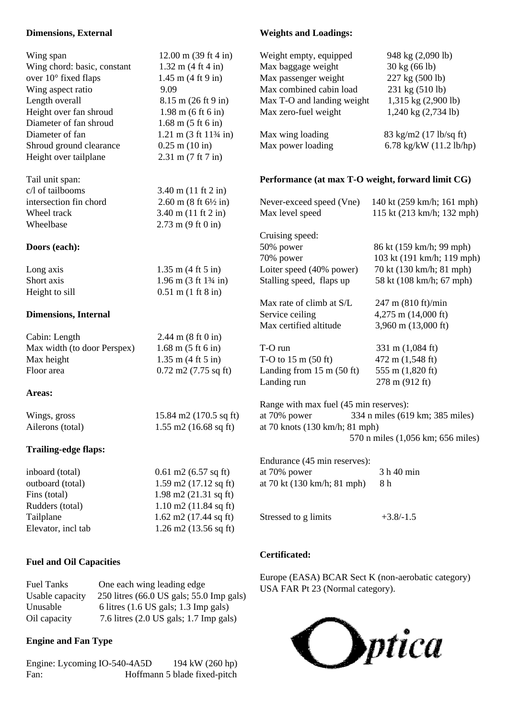#### **Dimensions, External**

| Wing span                   | $12.00 \text{ m}$ (39 ft 4 in)                           | Weight empty, equipped                            | 948 kg (2,090 lb)                 |
|-----------------------------|----------------------------------------------------------|---------------------------------------------------|-----------------------------------|
| Wing chord: basic, constant | $1.32 \text{ m} (4 \text{ ft } 4 \text{ in})$            | Max baggage weight                                | 30 kg (66 lb)                     |
| over 10° fixed flaps        | $1.45$ m $(4 \text{ ft } 9 \text{ in})$                  | Max passenger weight                              | 227 kg (500 lb)                   |
| Wing aspect ratio           | 9.09                                                     | Max combined cabin load                           | 231 kg (510 lb)                   |
| Length overall              | $8.15 \text{ m} (26 \text{ ft} 9 \text{ in})$            | Max T-O and landing weight                        | 1,315 kg (2,900 lb)               |
| Height over fan shroud      | $1.98 \text{ m}$ (6 ft 6 in)                             | Max zero-fuel weight                              | $1,240$ kg $(2,734$ lb)           |
| Diameter of fan shroud      | $1.68 \text{ m} (5 \text{ ft} 6 \text{ in})$             |                                                   |                                   |
| Diameter of fan             | $1.21 \text{ m} (3 \text{ ft} 11\frac{3}{4} \text{ in})$ | Max wing loading                                  | 83 kg/m2 (17 lb/sq ft)            |
| Shroud ground clearance     | $0.25$ m $(10 \text{ in})$                               | Max power loading                                 | 6.78 kg/kW $(11.2 \text{ lb/hp})$ |
| Height over tailplane       | $2.31 \text{ m} (7 \text{ ft} 7 \text{ in})$             |                                                   |                                   |
| Tail unit span:             |                                                          | Performance (at max T-O weight, forward limit CG) |                                   |
| c/l of tailbooms            | $3.40 \text{ m} (11 \text{ ft} 2 \text{ in})$            |                                                   |                                   |
| intersection fin chord      | $2.60$ m $(8 \text{ ft } 6\frac{1}{2} \text{ in})$       | Never-exceed speed (Vne)                          | 140 kt (259 km/h; 161 mph)        |
| Wheel track                 | $3.40 \text{ m} (11 \text{ ft} 2 \text{ in})$            | Max level speed                                   | 115 kt (213 km/h; 132 mph)        |
| Wheelbase                   | $2.73 \text{ m} (9 \text{ ft} 0 \text{ in})$             |                                                   |                                   |
|                             |                                                          | Cruising speed:                                   |                                   |
| Doors (each):               |                                                          | 50% power                                         | 86 kt (159 km/h; 99 mph)          |
|                             |                                                          | 70% power                                         | 103 kt (191 km/h; 119 mph)        |
| Long axis                   | $1.35 \text{ m} (4 \text{ ft} 5 \text{ in})$             | Loiter speed (40% power)                          | 70 kt (130 km/h; 81 mph)          |
| Short axis                  | $1.96$ m $(3 \text{ ft } 1\frac{3}{4} \text{ in})$       | Stalling speed, flaps up                          | 58 kt (108 km/h; 67 mph)          |
| Height to sill              | $0.51$ m $(1 \text{ ft } 8 \text{ in})$                  |                                                   |                                   |
|                             |                                                          | Max rate of climb at S/L                          | 247 m (810 ft)/min                |
| <b>Dimensions, Internal</b> |                                                          | Service ceiling                                   | 4,275 m (14,000 ft)               |
|                             |                                                          | Max certified altitude                            | 3,960 m (13,000 ft)               |
| Cabin: Length               | $2.44 \text{ m} (8 \text{ ft} 0 \text{ in})$             |                                                   |                                   |
| Max width (to door Perspex) | $1.68 \text{ m} (5 \text{ ft} 6 \text{ in})$             | T-O run                                           | 331 m (1,084 ft)                  |
| Max height                  | $1.35$ m $(4 \text{ ft } 5 \text{ in})$                  | T-O to $15 \text{ m} (50 \text{ ft})$             | 472 m (1,548 ft)                  |
| Floor area                  | $0.72$ m2 (7.75 sq ft)                                   | Landing from $15 \text{ m}$ (50 ft)               | 555 m (1,820 ft)                  |
|                             |                                                          | Landing run                                       | 278 m (912 ft)                    |
| Areas:                      |                                                          |                                                   |                                   |
|                             |                                                          | Range with max fuel (45 min reserves):            |                                   |
| Wings, gross                | 15.84 m2 (170.5 sq ft)                                   | at 70% power                                      | 334 n miles (619 km; 385 miles)   |
| Ailerons (total)            | $1.55$ m2 (16.68 sq ft)                                  | at 70 knots $(130 \text{ km/h}; 81 \text{ mph})$  |                                   |
|                             |                                                          |                                                   | 570 n miles (1,056 km; 656 miles) |
| <b>Trailing-edge flaps:</b> |                                                          |                                                   |                                   |
|                             |                                                          | Endurance (45 min reserves):                      |                                   |
| inboard (total)             | $0.61 \text{ m2}$ (6.57 sq ft)                           | at 70% power                                      | 3 h 40 min                        |
| outboard (total)            | $1.59$ m2 (17.12 sq ft)                                  | at 70 kt (130 km/h; 81 mph)                       | 8h                                |
| Fins (total)                | $1.98$ m2 $(21.31$ sq ft)                                |                                                   |                                   |
| Rudders (total)             | $1.10 \text{ m}$ 2 (11.84 sq ft)                         |                                                   |                                   |
| Tailplane                   | $1.62 \text{ m}$ $2(17.44 \text{ sq ft})$                | Stressed to g limits                              | $+3.8/-1.5$                       |

**Weights and Loadings:**

### **Certificated:**

Europe (EASA) BCAR Sect K (non-aerobatic category) USA FAR Pt 23 (Normal category).



# **Engine and Fan Type**

**Fuel and Oil Capacities**

Engine: Lycoming IO-540-4A5D 194 kW (260 hp) Fan: Hoffmann 5 blade fixed-pitch

Elevator, incl tab 1.26 m2 (13.56 sq ft)

Usable capacity 250 litres (66.0 US gals; 55.0 Imp gals) Unusable 6 litres (1.6 US gals; 1.3 Imp gals) Oil capacity 7.6 litres (2.0 US gals; 1.7 Imp gals)

Fuel Tanks One each wing leading edge